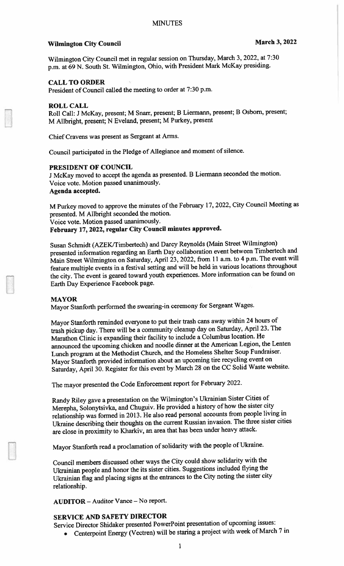# Wilmington City Council March 3, 2022

Wilmington City Council met in regular session on Thursday, March 3, 2022, at 7:30 p.m. at <sup>69</sup> N. South St. Wilmington. Ohio, with President Mark McKay presiding.

## CALL TO ORDER

President of Council called the meeting to order at 7:30 p.m.

#### ROLL CALL

Roll Call: <sup>J</sup> McKay, present; <sup>M</sup> Snarr, present; <sup>B</sup> Liermann, present; <sup>B</sup> Osborn. present; M Alibright, present; <sup>N</sup> Eveland, present; <sup>M</sup> Purkey, presen<sup>t</sup>

Chief Cravens was presen<sup>t</sup> as Sergeant at Arms.

Council participated in the Pledge of Allegiance and moment of silence.

#### PRESIDENT OF COUNCIL

<sup>J</sup> McKay moved to accep<sup>t</sup> the agenda as presented. <sup>B</sup> Liermann seconded the motion. Voice vote. Motion passed unanimously. Agenda accepted.

M Purkey moved to approve the minutes of the February 17, 2022, City Council Meeting as presented. <sup>M</sup> Allbright seconded the motion. Voice vote. Motion passed unanimously. February 17, 2022, regular City Council minutes approved.

Susan Schmidt (AZEK/Timbertech) and Darcy Reynolds (Main Street Wilmington) presented information regarding an Earth Day collaboration event between Timbertech and Main Street Wilmington on Saturday, April 23, 2022, from <sup>11</sup> a.m. to <sup>4</sup> p.m. The event will feature multiple events in <sup>a</sup> festival setting and will be held in various locations throughout the city. The event is geare<sup>d</sup> toward youth experiences. More information can be found on Earth Day Experience Facebook page.

#### MAYOR

Mayor Stanforth performed the swearing-in ceremony for Sergeant Wages.

Mayor Stanforth reminded everyone to pu<sup>t</sup> their trash cans away within <sup>24</sup> hours of trash <sup>p</sup>ickup day. There will be <sup>a</sup> community cleanup day on Saturday, April 23. The Marathon Clinic is expanding their facility to include <sup>a</sup> Columbus location. He announced the upcoming chicken and noodle dinner at the American Legion, the Lenten Lunch program at the Methodist Church, and the Homeless Shelter Soup Fundraiser. Mayor Stanforth provided information about an upcoming tire recycling event on Saturday, April 30. Register for this event by March <sup>28</sup> on the CC Solid Waste website.

The mayor presented the Code Enforcement repor<sup>t</sup> for February 2022.

Randy Riley gave <sup>a</sup> presentation on the Wilmington's Ukrainian Sister Cities of Merepha, Solonytsivka, and Chuguiv. He provided <sup>a</sup> history of how the sister city relationship was formed in 2013. He also read persona<sup>l</sup> accounts from people living in Ukraine describing their thoughts on the current Russian invasion. The three sister cities are close in proximity to Kharkiv, an area that has been under heavy attack.

Mayor Stanforth read <sup>a</sup> proclamation of solidarity with the people of Ukraine.

Council members discussed other ways the City could show solidarity with the Ukrainian people and honor the its sister cities. Suggestions included flying the Ukrainian flag and <sup>p</sup>lacing signs at the entrances to the City noting the sister city relationship.

AUDITOR — Auditor Vance — No report.

## SERVICE AND SAFETY DIRECTOR

Service Director Shidaker presented PowerPoint presentation of upcoming issues:

Centerpoint Energy (Vectren) will be staring <sup>a</sup> project with week of March <sup>7</sup> in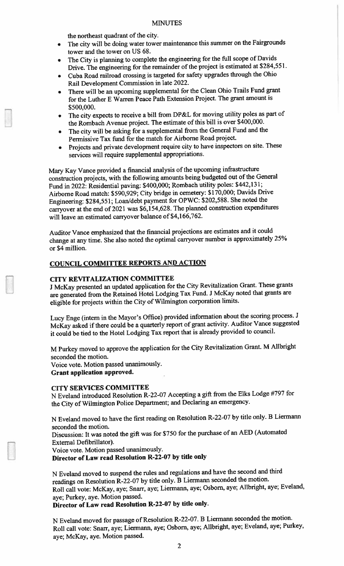## **MINUTES**

the northeast quadrant of the city.

- The city will be doing water tower maintenance this summer on the Fairgrounds tower and the tower on US 68.
- The City is <sup>p</sup>lanning to complete the engineering for the full scope of Davids Drive. The engineering for the remainder of the project is estimated at S284,551.
- • Cuba Road railroad crossing is targeted for safety upgrades through the Ohio Rail Development Commission in late 2022.
- There will be an upcoming supplemental for the Clean Ohio Trails Fund gran<sup>t</sup> for the Luther <sup>E</sup> Warren Peace Path Extension Project. The gran<sup>t</sup> amount is \$500,000.
- The city expects to receive <sup>a</sup> bill from DP&L for moving utility poles as par<sup>t</sup> of the Rombach Avenue project. The estimate of this bill is over \$400,000.
- The city will be asking for <sup>a</sup> supplemental from the General Fund and the Permissive Tax fund for the match for Airborne Road project.
- Projects and private development require city to have inspectors on site. These services will require supplemental appropriations.

Mary Kay Vance provided <sup>a</sup> financial analysis of the upcoming infrastructure construction projects, with the following amounts being budgeted out of the General Fund in 2022: Residential paving: \$400,000; Rombach utility poles: \$442, <sup>13</sup> 1; Airborne Road match: \$590,929; City bridge in cemetery: \$170,000; Davids Drive Engineering: \$284,551; Loan/debt paymen<sup>t</sup> for OPWC: \$202,588. She noted the carryover at the end of <sup>2021</sup> was \$6, 154,628. The <sup>p</sup>lanned construction expenditures will leave an estimated carryover balance of \$4,166,762.

Auditor Vance emphasized that the financial projections are estimates and it could change at any time. She also noted the optimal carryover number is approximately 25% or \$4 million.

## COUNCIL COMMITTEE REPORTS AND ACTION

## CITY REVITALJZATION COMMITTEE

<sup>J</sup> McKay presented an updated application for the City Revitalization Grant. These grants are generated from the Retained Hotel Lodging Tax Fund. <sup>J</sup> McKay noted that grants are eligible for projects within the City of Wilmington corporation limits.

Lucy Enge (intern in the Mayor's Office) provided information about the scoring process. <sup>J</sup> McKay asked if there could be a quarterly report of grant activity. Auditor Vance suggested it could be tied to the Hotel Lodging Tax repor<sup>t</sup> that is already provided to council.

M Purkey moved to approve the application for the City Revitalization Grant. <sup>M</sup> Allbright seconded the motion.

Voice vote. Motion passed unanimously.

## Grant application approved.

# CITY SERVICES COMMITTEE

<sup>N</sup> Eveland introduced Resolution R-22-07 Accepting <sup>a</sup> <sup>g</sup>ift from the Elks Lodge #797 for the City of Wilmington Police Department; and Declaring an emergency.

<sup>N</sup> Eveland moved to have the first reading on Resolution R-22-07 by title only. <sup>B</sup> Liermann seconded the motion.

Discussion: It was noted the <sup>g</sup>ift was for \$750 for the purchase of an AED (Automated External Defibrillator).

Voice vote. Motion passed unanimously.

Director of Law read Resolution R-22-07 by title only

<sup>N</sup> Eveland moved to suspen<sup>d</sup> the rules and regulations and have the second and third readings on Resolution R-22-07 by title only. <sup>B</sup> Liermann seconded the motion. Roll call vote: McKay, aye; Snarr, aye; Liermann, aye; Osbom, aye; Allbright, aye; Eveland, aye; Purkey, aye. Motion passed.

# Director of Law read Resolution R-22-07 by title only.

<sup>N</sup> Eveland moved for passage of Resolution R-22-07. <sup>B</sup> Liermann seconded the motion. Roll call vote: Snarr, aye; Liermann, aye; Osbom, aye; Allbright, aye; Eveland, aye; Purkey, aye; McKay. aye. Motion passed.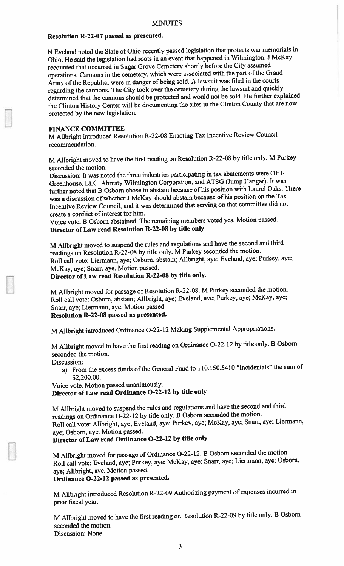# Resolution R-22-07 passe<sup>d</sup> as presented.

<sup>N</sup> Eveland noted the State of Ohio recently passe<sup>d</sup> legislation that protects war memorials in Ohio. He said the legislation had roots in an event that happened in Wilmington. <sup>J</sup> McKay recounted that occurred in Sugar Grove Cemetery shortly before the City assumed operations. Cannons in the cemetery, which were associated with the par<sup>t</sup> of the Grand Army of the Republic, were in danger of being sold. A lawsuit was filed in the courts regarding the cannons. The City took over the cemetery during the lawsuit and quickly determined that the cannons should be protected and would not be sold. He further explained the Clinton History Center will be documenting the sites in the Clinton County that are now protected by the new legislation.

### FINANCE COMMITTEE

M Allbright introduced Resolution R-22-08 Enacting Tax Incentive Review Council recommendation.

M Allbright moved to have the first reading on Resolution R-22-08 by title only. M Purkey seconded the motion.

Discussion: It was noted the three industries participating in tax abatements were OHI Greenhouse, LLC, Ahresty Wilmington Corporation, and ATSG (Jump Hangar). It was further noted that <sup>B</sup> Osbom chose to abstain because of his position with Laurel Oaks. There was <sup>a</sup> discussion of whether <sup>J</sup> McKay should abstain because of his position on the Tax Incentive Review Council, and it was determined that serving on that committee did not create <sup>a</sup> conflict of interest for him.

Voice vote. <sup>B</sup> Osbom abstained. The remaining members voted yes. Motion passed. Director of Law read Resolution R-22-O8 by title only

M Allbright moved to suspen<sup>d</sup> the rules and regulations and have the second and third readings on Resolution R-22-08 by title only. <sup>M</sup> Purkey seconded the motion. Roll call vote: Liermann, aye; Osborn, abstain; Allbright, aye; Eveland, aye; Purkey, aye; McKay, aye; Snarr. aye. Motion passed.

Director of Law read Resolution R-22-O8 by title only.

M Alibright moved for passage of Resolution R-22-08. <sup>M</sup> Purkey seconded the motion. Roll call vote: Osbom, abstain; Aflbright. aye; Eveland, aye; Purkey, aye; McKay, aye; Snarr, aye; Liermann, aye. Motion passed.

Resolution R-22-O8 passe<sup>d</sup> as presented.

M Allbright introduced Ordinance 0-22-12 Making Supplemental Appropriations.

M Allbright moved to have the first reading on Ordinance 0-22-12 by title only. <sup>B</sup> Osborn seconded the motion.

Discussion:

a) From the excess funds of the General Fund to 110.150.5410 "Incidentals" the sum of \$2,200.00.

Voice vote. Motion passed unanimously. Director of Law read Ordinance 0-22-12 by title only

M Allbright moved to suspen<sup>d</sup> the rules and regulations and have the second and third readings on Ordinance 0-22-12 by title only. <sup>B</sup> Osborn seconded the motion. Roll call vote: Allbright, aye; Eveland, aye; Purkey, aye; McKay, aye; Snarr, aye; Liermann, aye; Osbom, aye. Motion passed.

Director of Law read Ordinance 0-22-12 by title only.

M Alibright moved for passage of Ordinance 0-22-12. <sup>B</sup> Osborn seconded the motion. Roll call vote: Eveland, aye: Purkey, aye; McKay, aye; Snarr, aye; Liermann. aye; Osborn, aye; Allbright, aye. Motion passed.

Ordinance 0-22-12 passe<sup>d</sup> as presented.

M Allbright introduced Resolution R-22-09 Authorizing paymen<sup>t</sup> of expenses incurred in prior fiscal year.

M Allbright moved to have the first reading on Resolution R-22-09 by title only. <sup>B</sup> Osborn seconded the motion. Discussion: None.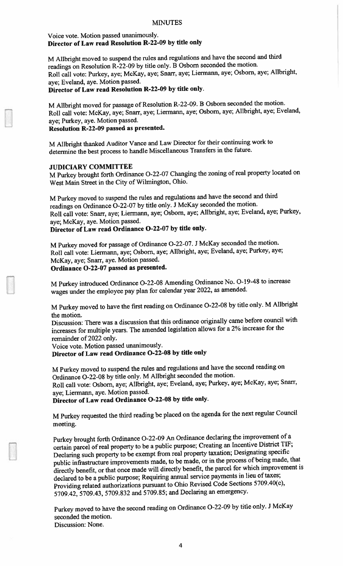## Voice vote. Motion passed unanimously. Director of Law read Resolution R-22-09 by title only

M Allbright moved to suspen<sup>d</sup> the rules and regulations and have the second and third readings on Resolution R-22-09 by title only. <sup>B</sup> Osborn seconded the motion. Roll call vote: Purkey, aye; McKay, aye; Snarr, aye; Liermann, aye; Osborn, aye; Allbright, aye; Eveland, aye. Motion passed.

# Director of Law read Resolution R-22-09 by title only.

M Allbright moved for passage of Resolution R-22-09. <sup>B</sup> Osborn seconded the motion. Roll call vote: McKay, aye; Snarr, aye; Liermann, aye; Osbom, aye; Alibright, aye; Eveland, aye; Purkey, aye. Motion passed.

## Resolution R-22-09 passe<sup>d</sup> as presented.

NI Allbright thanked Auditor Vance and Law Director for their continuing work to determine the best process to handle Miscellaneous Transfers in the future.

## JUDICIARY COMMITTEE

M Purkey brought forth Ordinance O-22-07 Changing the zoning of real property located on West Main Street in the City of Wilmington, Ohio.

M Purkey moved to suspen<sup>d</sup> the rules and regulations and have the second and third readings on Ordinance 0-22-07 by title only. <sup>J</sup> McKay seconded the motion. Roll call vote: Snarr, aye; Liermann, aye; Osborn, aye; Allbright, aye; Eveland, aye; Purkey, aye; McKay, aye. Motion passed.

# Director of Law read Ordinance 0-22-07 by title only.

M Purkey moved for passage of Ordinance 0-22-07. <sup>J</sup> McKay seconded the motion. Roll call vote: Liermann, aye; Osborn, aye; Allbright, aye; Eveland, aye; Purkey, aye; McKay, aye; Snarr, aye. Motion passed.

### Ordinance 0-22-07 passe<sup>d</sup> as presented.

M Purkey introduced Ordinance 0-22-08 Amending Ordinance No. 0-19-48 to increase wages under the employee pay <sup>p</sup>lan for calendar year 2022, as amended.

M Purkey moved to have the first reading on Ordinance 0-22-08 by title only. <sup>M</sup> Allbright the motion.

Discussion: There was <sup>a</sup> discussion that this ordinance originally came before council with increases for multiple years. The amended legislation allows for a 2% increase for the remainder of 2022 only.

Voice vote. Motion passe<sup>d</sup> unanimously.

Director of Law read Ordinance 0-22-08 by title only

M Purkey moved to suspen<sup>d</sup> the rules and regulations and have the second reading on Ordinance 0-22-08 by title only. <sup>M</sup> Allbright seconded the motion. Roll call vote: Osborn, aye; Allbright, aye; Eveland, aye; Purkey, aye; McKay, aye; Snarr,

aye; Liermann, aye. Motion passed. Director of Law read Ordinance 0-22-08 by title only.

M Purkey requested the third reading be <sup>p</sup>laced on the agenda for the next regular Council meeting.

Purkey brought forth Ordinance 0-22-09 An Ordinance declaring the improvement of <sup>a</sup> certain parce<sup>l</sup> of real property to be <sup>a</sup> public purpose; Creating an Incentive District TIF; Declaring such property to be exemp<sup>t</sup> from real property taxation; Designating specific public infrastructure improvements made, to be made, or in the process of being made, that directly benefit, or that once made will directly benefit, the parce<sup>l</sup> for which improvement is declared to be <sup>a</sup> public purpose; Requiring annual service payments in lieu of taxes; Providing related authorizations pursuan<sup>t</sup> to Ohio Revised Code Sections 5709.40(c), 5709.42, 5709.43, 5709.832 and 5709.85; and Declaring an emergency.

Purkey moved to have the second reading on Ordinance 0-22-09 by title only. <sup>J</sup> McKay seconded the motion. Discussion: None.

4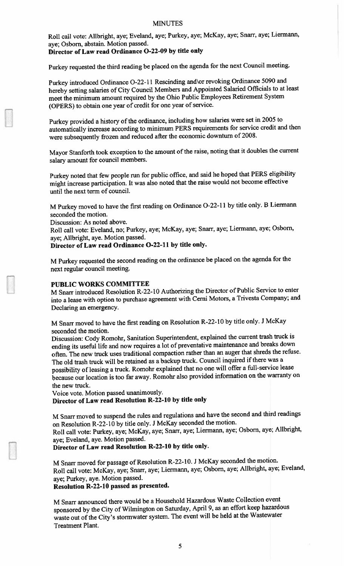#### MINUTES

Roll call vote: Alibright, aye; Eveland, aye; Purkey, aye; McKay, aye; Snarr, aye: Liermann, aye; Osbom, abstain. Motion passed. Director of Law read Ordinance 0-22-09 by title only

Purkey requested the third reading be <sup>p</sup>laced on the agenda for the next Council meeting.

Purkey introduced Ordinance O-22-11 Rescinding and or revoking Ordinance 5090 and hereby setting salaries of City Council Members and Appointed Salaried Officials to at least meet the minimum amount required by the Ohio Public Employees Retirement System (OPERS) to obtain one year of credit for one year of service.

Purkey provided <sup>a</sup> history of the ordinance, including how salaries were set in <sup>2005</sup> to automatically increase according to minimum PERS requirements for service credit and then were subsequently frozen and reduced after the economic downturn of 2008.

Mayor Stanforth took exception to the amount of the raise, noting that it doubles the current salary amount for council members.

Purkey noted that few people run for public office, and said he hoped that PERS eligibility might increase participation. It was also noted that the raise would not become effective until the next term of council.

M Purkey moved to have the first reading on Ordinance 0-22-11 by title only. <sup>B</sup> Liermann seconded the motion.

Discussion: As noted above.

Roll call vote: Eveland, no; Purkey, aye; McKay, aye; Snarr, aye; Liermann, aye; Osborn, aye; Allbright, aye. Motion passed.

Director of Law read Ordinance 0-22-11 by title only.

M Purkey requested the second reading on the ordinance be <sup>p</sup>laced on the agenda for the next regular council meeting.

#### PUBLIC WORKS COMMITTEE

NI Snarr introduced Resolution R-22-l0 Authorizing the Director of Public Service to enter into <sup>a</sup> lease with option to purchase agreemen<sup>t</sup> with Cemi Motors, <sup>a</sup> Trivesta Company; and Declaring an emergency.

M Snarr moved to have the first reading on Resolution R-22-l0 by title only. <sup>J</sup> McKay seconded the motion.

Discussion: Cody Romohr, Sanitation Superintendent, explained the current trash truck is ending its useful life and now requires a lot of preventative maintenance and breaks down often. The new truck uses traditional compaction rather than an auger that shreds the refuse. The old trash truck will be retained as a backup truck. Council inquired if there was a possibility of leasing a truck. Romohr explained that no one will offer a full-service lease because our location is too far away. Romohr also provided information on the warranty on the new truck.

Voice vote. Motion passed unanimously. Director of Law read Resolution R-22-10 by title only

M Snarr moved to suspen<sup>d</sup> the rules and regulations and have the second and third readings on Resolution R-22-l <sup>0</sup> by title only. <sup>J</sup> McKay seconded the motion.

Roll call vote: Purkey, aye; McKay, aye; Snarr, aye; Liermann, aye; Osborn. aye; Allbright, aye; Eveland, aye. Motion passed.

Director of Law read Resolution R-22-1O by title only.

M Snarr moved for passage of Resolution R-22-10. <sup>J</sup> McKay seconded the motion. Roll call vote: McKay, aye; Snarr. aye; Liermann, aye; Osbom, aye; Allbright, aye; Eveland, aye; Purkey, aye. Motion passed.

Resolution R-22-10 passe<sup>d</sup> as presented.

M Snarr announced there would be <sup>a</sup> Household Hazardous Waste Collection event sponsore<sup>d</sup> by the City of Wilmington on Saturday, April 9, as an effort keep hazardous waste out of the City's stormwater system. The event will be held at the Wastewater Treatment Plant.